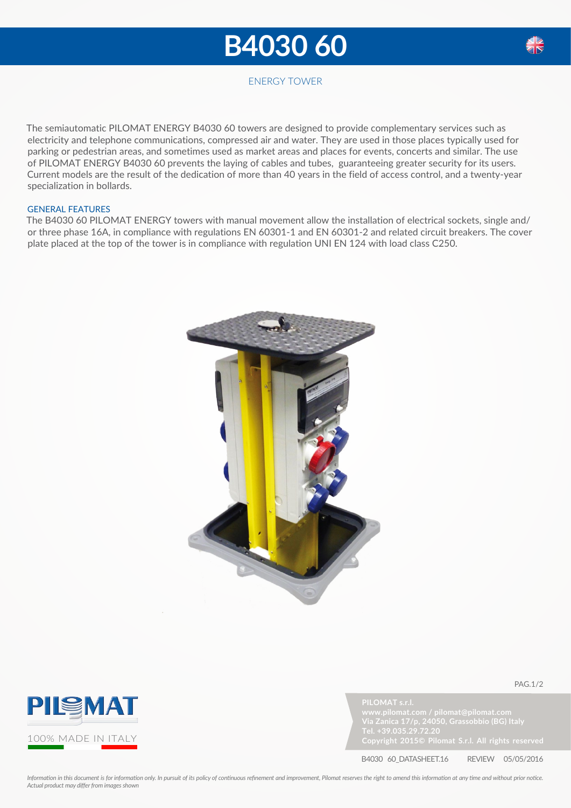## **B4030 60**



### ENERGY TOWER

The semiautomatic PILOMAT ENERGY B4030 60 towers are designed to provide complementary services such as electricity and telephone communications, compressed air and water. They are used in those places typically used for parking or pedestrian areas, and sometimes used as market areas and places for events, concerts and similar. The use of PILOMAT ENERGY B4030 60 prevents the laying of cables and tubes, guaranteeing greater security for its users. Current models are the result of the dedication of more than 40 years in the field of access control, and a twenty-year specialization in bollards.

#### GENERAL FEATURES

The B4030 60 PILOMAT ENERGY towers with manual movement allow the installation of electrical sockets, single and/ or three phase 16A, in compliance with regulations EN 60301-1 and EN 60301-2 and related circuit breakers. The cover plate placed at the top of the tower is in compliance with regulation UNI EN 124 with load class C250.





**PILOMAT s.r.l.**



pag.1/2

B4030 60\_DATASHEET.16 REVIEW 05/05/2016

*Information in this document is for information only. In pursuit of its policy of continuous refinement and improvement, Pilomat reserves the right to amend this information at any time and without prior notice. Actual product may differ from images shown*